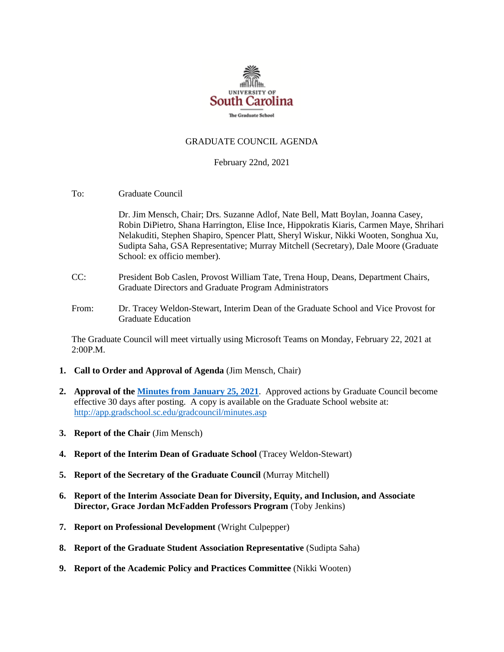

### GRADUATE COUNCIL AGENDA

#### February 22nd, 2021

To: Graduate Council

Dr. Jim Mensch, Chair; Drs. Suzanne Adlof, Nate Bell, Matt Boylan, Joanna Casey, Robin DiPietro, Shana Harrington, Elise Ince, Hippokratis Kiaris, Carmen Maye, Shrihari Nelakuditi, Stephen Shapiro, Spencer Platt, Sheryl Wiskur, Nikki Wooten, Songhua Xu, Sudipta Saha, GSA Representative; Murray Mitchell (Secretary), Dale Moore (Graduate School: ex officio member).

- CC: President Bob Caslen, Provost William Tate, Trena Houp, Deans, Department Chairs, Graduate Directors and Graduate Program Administrators
- From: Dr. Tracey Weldon-Stewart, Interim Dean of the Graduate School and Vice Provost for Graduate Education

The Graduate Council will meet virtually using Microsoft Teams on Monday, February 22, 2021 at 2:00P.M.

- **1. Call to Order and Approval of Agenda** (Jim Mensch, Chair)
- **2. Approval of th[e Minutes from January 25, 2021](MMGCMINUTES1.25.21_.pdf)**. Approved actions by Graduate Council become effective 30 days after posting. A copy is available on the Graduate School website at: <http://app.gradschool.sc.edu/gradcouncil/minutes.asp>
- **3. Report of the Chair** (Jim Mensch)
- **4. Report of the Interim Dean of Graduate School** (Tracey Weldon-Stewart)
- **5. Report of the Secretary of the Graduate Council** (Murray Mitchell)
- **6. Report of the Interim Associate Dean for Diversity, Equity, and Inclusion, and Associate Director, Grace Jordan McFadden Professors Program** (Toby Jenkins)
- **7. Report on Professional Development** (Wright Culpepper)
- **8. Report of the Graduate Student Association Representative** (Sudipta Saha)
- **9. Report of the Academic Policy and Practices Committee** (Nikki Wooten)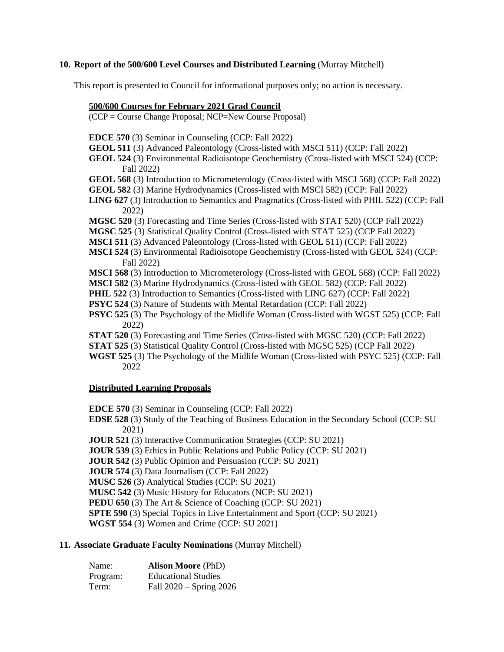### **10. Report of the 500/600 Level Courses and Distributed Learning** (Murray Mitchell)

This report is presented to Council for informational purposes only; no action is necessary.

#### **500/600 Courses for February 2021 Grad Council**

(CCP = Course Change Proposal; NCP=New Course Proposal)

- **EDCE 570** (3) Seminar in Counseling (CCP: Fall 2022)
- **GEOL 511** (3) Advanced Paleontology (Cross-listed with MSCI 511) (CCP: Fall 2022)
- **GEOL 524** (3) Environmental Radioisotope Geochemistry (Cross-listed with MSCI 524) (CCP: Fall 2022)
- **GEOL 568** (3) Introduction to Micrometerology (Cross-listed with MSCI 568) (CCP: Fall 2022)
- **GEOL 582** (3) Marine Hydrodynamics (Cross-listed with MSCI 582) (CCP: Fall 2022)
- **LING 627** (3) Introduction to Semantics and Pragmatics (Cross-listed with PHIL 522) (CCP: Fall 2022)
- **MGSC 520** (3) Forecasting and Time Series (Cross-listed with STAT 520) (CCP Fall 2022)
- **MGSC 525** (3) Statistical Quality Control (Cross-listed with STAT 525) (CCP Fall 2022)
- **MSCI 511** (3) Advanced Paleontology (Cross-listed with GEOL 511) (CCP: Fall 2022)
- **MSCI 524** (3) Environmental Radioisotope Geochemistry (Cross-listed with GEOL 524) (CCP: Fall 2022)
- **MSCI 568** (3) Introduction to Micrometerology (Cross-listed with GEOL 568) (CCP: Fall 2022)
- **MSCI 582** (3) Marine Hydrodynamics (Cross-listed with GEOL 582) (CCP: Fall 2022)
- **PHIL 522** (3) Introduction to Semantics (Cross-listed with LING 627) (CCP: Fall 2022)
- **PSYC 524** (3) Nature of Students with Mental Retardation (CCP: Fall 2022)
- **PSYC 525** (3) The Psychology of the Midlife Woman (Cross-listed with WGST 525) (CCP: Fall 2022)
- **STAT 520** (3) Forecasting and Time Series (Cross-listed with MGSC 520) (CCP: Fall 2022)
- **STAT 525** (3) Statistical Quality Control (Cross-listed with MGSC 525) (CCP Fall 2022)
- **WGST 525** (3) The Psychology of the Midlife Woman (Cross-listed with PSYC 525) (CCP: Fall 2022

#### **Distributed Learning Proposals**

**EDCE 570** (3) Seminar in Counseling (CCP: Fall 2022)

**EDSE 528** (3) Study of the Teaching of Business Education in the Secondary School (CCP: SU 2021)

**JOUR 521** (3) Interactive Communication Strategies (CCP: SU 2021)

- **JOUR 539** (3) Ethics in Public Relations and Public Policy (CCP: SU 2021)
- **JOUR 542** (3) Public Opinion and Persuasion (CCP: SU 2021)
- **JOUR 574** (3) Data Journalism (CCP: Fall 2022)
- **MUSC 526** (3) Analytical Studies (CCP: SU 2021)
- **MUSC 542** (3) Music History for Educators (NCP: SU 2021)
- **PEDU 650** (3) The Art & Science of Coaching (CCP: SU 2021)
- **SPTE 590** (3) Special Topics in Live Entertainment and Sport (CCP: SU 2021)
- **WGST 554** (3) Women and Crime (CCP: SU 2021)

### **11. Associate Graduate Faculty Nominations** (Murray Mitchell)

| Name:    | <b>Alison Moore</b> (PhD)   |
|----------|-----------------------------|
| Program: | <b>Educational Studies</b>  |
| Term:    | Fall $2020 -$ Spring $2026$ |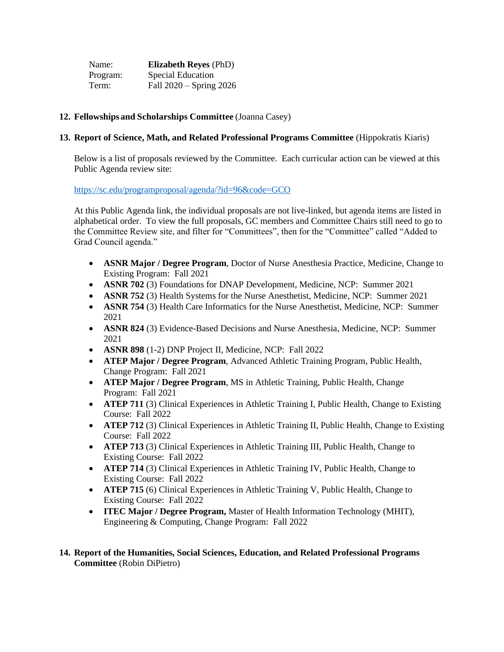| Name:    | <b>Elizabeth Reyes (PhD)</b> |
|----------|------------------------------|
| Program: | Special Education            |
| Term:    | Fall $2020 -$ Spring $2026$  |

# **12. Fellowships and Scholarships Committee** (Joanna Casey)

### **13. Report of Science, Math, and Related Professional Programs Committee** (Hippokratis Kiaris)

Below is a list of proposals reviewed by the Committee. Each curricular action can be viewed at this Public Agenda review site:

### <https://sc.edu/programproposal/agenda/?id=96&code=GCO>

At this Public Agenda link, the individual proposals are not live-linked, but agenda items are listed in alphabetical order. To view the full proposals, GC members and Committee Chairs still need to go to the Committee Review site, and filter for "Committees", then for the "Committee" called "Added to Grad Council agenda."

- **ASNR Major / Degree Program**, Doctor of Nurse Anesthesia Practice, Medicine, Change to Existing Program: Fall 2021
- **ASNR 702** (3) Foundations for DNAP Development, Medicine, NCP: Summer 2021
- **ASNR 752** (3) Health Systems for the Nurse Anesthetist, Medicine, NCP: Summer 2021
- **ASNR 754** (3) Health Care Informatics for the Nurse Anesthetist, Medicine, NCP: Summer 2021
- **ASNR 824** (3) Evidence-Based Decisions and Nurse Anesthesia, Medicine, NCP: Summer 2021
- **ASNR 898** (1-2) DNP Project II, Medicine, NCP: Fall 2022
- **ATEP Major / Degree Program**, Advanced Athletic Training Program, Public Health, Change Program: Fall 2021
- **ATEP Major / Degree Program**, MS in Athletic Training, Public Health, Change Program: Fall 2021
- **ATEP 711** (3) Clinical Experiences in Athletic Training I, Public Health, Change to Existing Course: Fall 2022
- **ATEP 712** (3) Clinical Experiences in Athletic Training II, Public Health, Change to Existing Course: Fall 2022
- **ATEP 713** (3) Clinical Experiences in Athletic Training III, Public Health, Change to Existing Course: Fall 2022
- **ATEP 714** (3) Clinical Experiences in Athletic Training IV, Public Health, Change to Existing Course: Fall 2022
- **ATEP 715** (6) Clinical Experiences in Athletic Training V, Public Health, Change to Existing Course: Fall 2022
- **ITEC Major / Degree Program,** Master of Health Information Technology (MHIT), Engineering & Computing, Change Program: Fall 2022

# **14. Report of the Humanities, Social Sciences, Education, and Related Professional Programs Committee** (Robin DiPietro)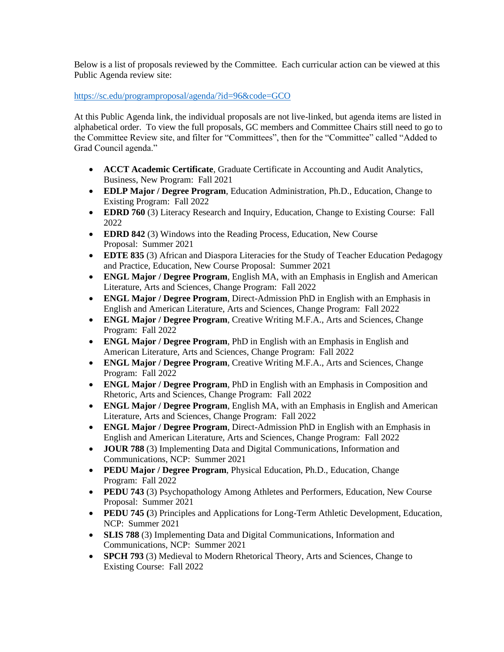Below is a list of proposals reviewed by the Committee. Each curricular action can be viewed at this Public Agenda review site:

<https://sc.edu/programproposal/agenda/?id=96&code=GCO>

At this Public Agenda link, the individual proposals are not live-linked, but agenda items are listed in alphabetical order. To view the full proposals, GC members and Committee Chairs still need to go to the Committee Review site, and filter for "Committees", then for the "Committee" called "Added to Grad Council agenda."

- **ACCT Academic Certificate**, Graduate Certificate in Accounting and Audit Analytics, Business, New Program: Fall 2021
- **EDLP Major / Degree Program**, Education Administration, Ph.D., Education, Change to Existing Program: Fall 2022
- **EDRD 760** (3) Literacy Research and Inquiry, Education, Change to Existing Course: Fall 2022
- **EDRD 842** (3) Windows into the Reading Process, Education, New Course Proposal: Summer 2021
- **EDTE 835** (3) African and Diaspora Literacies for the Study of Teacher Education Pedagogy and Practice, Education, New Course Proposal: Summer 2021
- **ENGL Major / Degree Program**, English MA, with an Emphasis in English and American Literature, Arts and Sciences, Change Program: Fall 2022
- **ENGL Major / Degree Program**, Direct-Admission PhD in English with an Emphasis in English and American Literature, Arts and Sciences, Change Program: Fall 2022
- **ENGL Major / Degree Program**, Creative Writing M.F.A., Arts and Sciences, Change Program: Fall 2022
- **ENGL Major / Degree Program**, PhD in English with an Emphasis in English and American Literature, Arts and Sciences, Change Program: Fall 2022
- **ENGL Major / Degree Program**, Creative Writing M.F.A., Arts and Sciences, Change Program: Fall 2022
- **ENGL Major / Degree Program**, PhD in English with an Emphasis in Composition and Rhetoric, Arts and Sciences, Change Program: Fall 2022
- **ENGL Major / Degree Program**, English MA, with an Emphasis in English and American Literature, Arts and Sciences, Change Program: Fall 2022
- **ENGL Major / Degree Program**, Direct-Admission PhD in English with an Emphasis in English and American Literature, Arts and Sciences, Change Program: Fall 2022
- **JOUR 788** (3) Implementing Data and Digital Communications, Information and Communications, NCP: Summer 2021
- **PEDU Major / Degree Program**, Physical Education, Ph.D., Education, Change Program: Fall 2022
- **PEDU 743** (3) Psychopathology Among Athletes and Performers, Education, New Course Proposal: Summer 2021
- **PEDU 745 (**3) Principles and Applications for Long-Term Athletic Development, Education, NCP: Summer 2021
- **SLIS 788** (3) Implementing Data and Digital Communications, Information and Communications, NCP: Summer 2021
- **SPCH 793** (3) Medieval to Modern Rhetorical Theory, Arts and Sciences, Change to Existing Course: Fall 2022